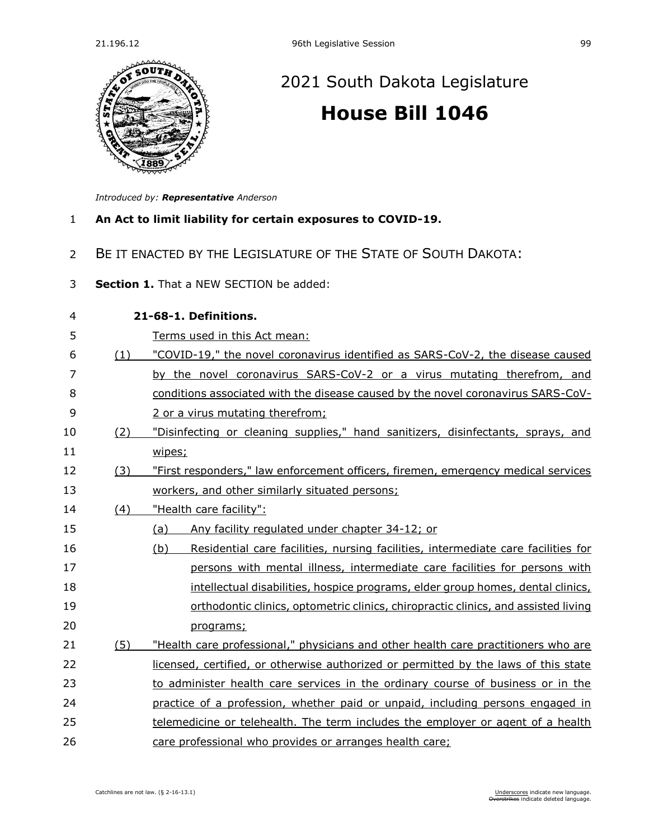

## [2021 South Dakota Legislature](https://sdlegislature.gov/Session/Bills/44) **[House Bill 1046](https://sdlegislature.gov/Session/Bill/21916)**

*Introduced by: Representative [Anderson](https://sdlegislature.gov/Legislators/Profile/1766/Detail)*

- 1 **An Act to limit liability for certain exposures to COVID-19.**
- 2 BE IT ENACTED BY THE LEGISLATURE OF THE STATE OF SOUTH DAKOTA:
- 3 **Section 1.** That a NEW SECTION be added:

| 4  | 21-68-1. Definitions. |                                                                                          |  |  |  |
|----|-----------------------|------------------------------------------------------------------------------------------|--|--|--|
| 5  |                       | Terms used in this Act mean:                                                             |  |  |  |
| 6  | (1)                   | "COVID-19," the novel coronavirus identified as SARS-CoV-2, the disease caused           |  |  |  |
| 7  |                       | by the novel coronavirus SARS-CoV-2 or a virus mutating therefrom, and                   |  |  |  |
| 8  |                       | conditions associated with the disease caused by the novel coronavirus SARS-CoV-         |  |  |  |
| 9  |                       | 2 or a virus mutating therefrom;                                                         |  |  |  |
| 10 | (2)                   | "Disinfecting or cleaning supplies," hand sanitizers, disinfectants, sprays, and         |  |  |  |
| 11 |                       | wipes;                                                                                   |  |  |  |
| 12 | (3)                   | "First responders," law enforcement officers, firemen, emergency medical services        |  |  |  |
| 13 |                       | workers, and other similarly situated persons;                                           |  |  |  |
| 14 | (4)                   | "Health care facility":                                                                  |  |  |  |
| 15 |                       | (a)<br>Any facility regulated under chapter 34-12; or                                    |  |  |  |
| 16 |                       | Residential care facilities, nursing facilities, intermediate care facilities for<br>(b) |  |  |  |
| 17 |                       | persons with mental illness, intermediate care facilities for persons with               |  |  |  |
| 18 |                       | intellectual disabilities, hospice programs, elder group homes, dental clinics,          |  |  |  |
| 19 |                       | orthodontic clinics, optometric clinics, chiropractic clinics, and assisted living       |  |  |  |
| 20 |                       | programs;                                                                                |  |  |  |
| 21 | (5)                   | "Health care professional," physicians and other health care practitioners who are       |  |  |  |
| 22 |                       | licensed, certified, or otherwise authorized or permitted by the laws of this state      |  |  |  |
| 23 |                       | to administer health care services in the ordinary course of business or in the          |  |  |  |
| 24 |                       | practice of a profession, whether paid or unpaid, including persons engaged in           |  |  |  |
| 25 |                       | telemedicine or telehealth. The term includes the employer or agent of a health          |  |  |  |
| 26 |                       | care professional who provides or arranges health care;                                  |  |  |  |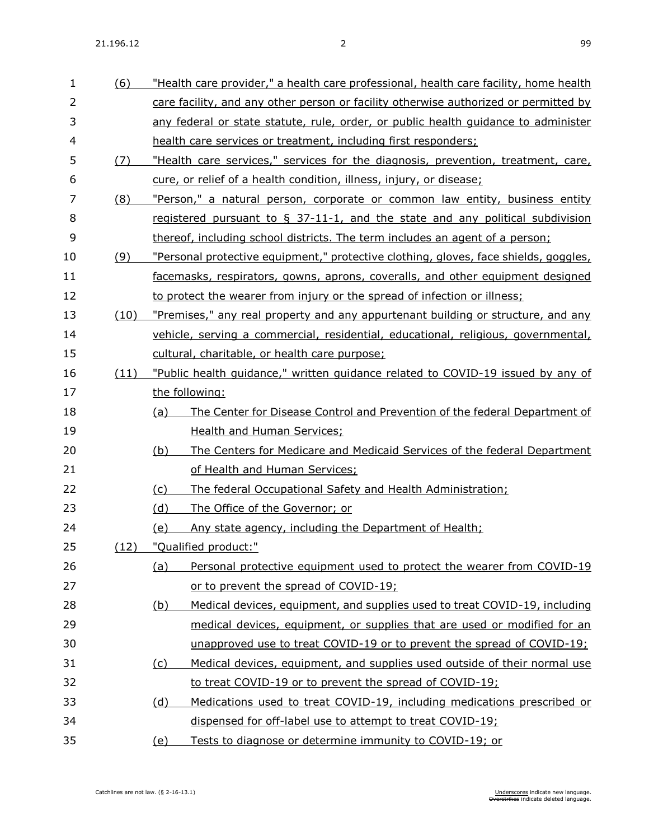| 1  | (6)  | "Health care provider," a health care professional, health care facility, home health |  |  |
|----|------|---------------------------------------------------------------------------------------|--|--|
| 2  |      | care facility, and any other person or facility otherwise authorized or permitted by  |  |  |
| 3  |      | any federal or state statute, rule, order, or public health quidance to administer    |  |  |
| 4  |      | health care services or treatment, including first responders;                        |  |  |
| 5  | (7)  | "Health care services," services for the diagnosis, prevention, treatment, care,      |  |  |
| 6  |      | cure, or relief of a health condition, illness, injury, or disease;                   |  |  |
| 7  | (8)  | "Person," a natural person, corporate or common law entity, business entity           |  |  |
| 8  |      | registered pursuant to $\S$ 37-11-1, and the state and any political subdivision      |  |  |
| 9  |      | thereof, including school districts. The term includes an agent of a person;          |  |  |
| 10 | (9)  | "Personal protective equipment," protective clothing, gloves, face shields, goggles,  |  |  |
| 11 |      | facemasks, respirators, gowns, aprons, coveralls, and other equipment designed        |  |  |
| 12 |      | to protect the wearer from injury or the spread of infection or illness;              |  |  |
| 13 | (10) | "Premises," any real property and any appurtenant building or structure, and any      |  |  |
| 14 |      | vehicle, serving a commercial, residential, educational, religious, governmental,     |  |  |
| 15 |      | cultural, charitable, or health care purpose;                                         |  |  |
| 16 | (11) | "Public health quidance," written quidance related to COVID-19 issued by any of       |  |  |
| 17 |      | the following:                                                                        |  |  |
| 18 |      | The Center for Disease Control and Prevention of the federal Department of<br>(a)     |  |  |
| 19 |      | <b>Health and Human Services;</b>                                                     |  |  |
| 20 |      | (b)<br>The Centers for Medicare and Medicaid Services of the federal Department       |  |  |
| 21 |      | of Health and Human Services;                                                         |  |  |
| 22 |      | (c)<br>The federal Occupational Safety and Health Administration;                     |  |  |
| 23 |      | <u>(d)</u><br>The Office of the Governor; or                                          |  |  |
| 24 |      | Any state agency, including the Department of Health;<br><u>(e)</u>                   |  |  |
| 25 | (12) | "Qualified product:"                                                                  |  |  |
| 26 |      | Personal protective equipment used to protect the wearer from COVID-19<br>(a)         |  |  |
| 27 |      | or to prevent the spread of COVID-19;                                                 |  |  |
| 28 |      | Medical devices, equipment, and supplies used to treat COVID-19, including<br>(b)     |  |  |
| 29 |      | medical devices, equipment, or supplies that are used or modified for an              |  |  |
| 30 |      | unapproved use to treat COVID-19 or to prevent the spread of COVID-19;                |  |  |
| 31 |      | Medical devices, equipment, and supplies used outside of their normal use<br>(c)      |  |  |
| 32 |      | to treat COVID-19 or to prevent the spread of COVID-19;                               |  |  |
| 33 |      | Medications used to treat COVID-19, including medications prescribed or<br>(d)        |  |  |
| 34 |      | dispensed for off-label use to attempt to treat COVID-19;                             |  |  |
| 35 |      | Tests to diagnose or determine immunity to COVID-19; or<br><u>(e)</u>                 |  |  |
|    |      |                                                                                       |  |  |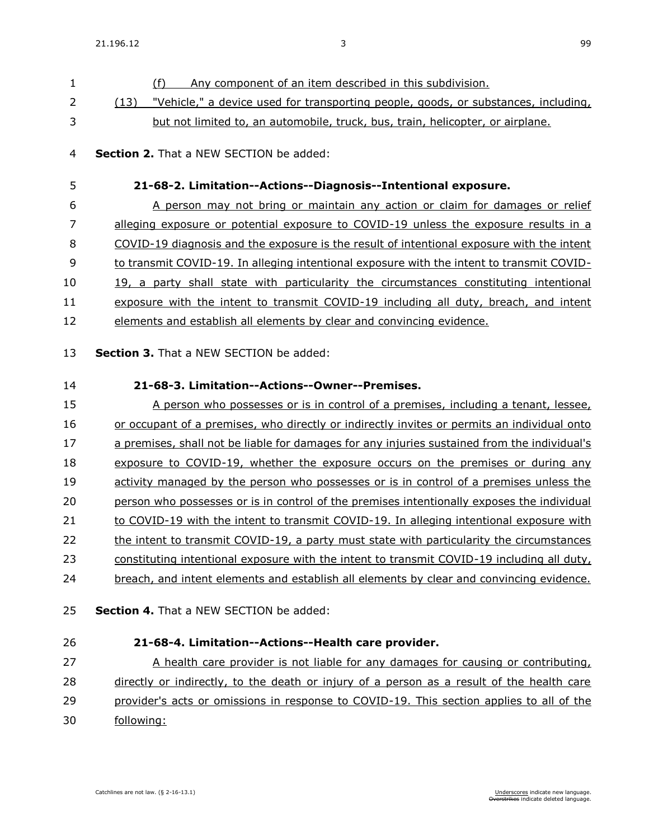(f) Any component of an item described in this subdivision. (13) "Vehicle," a device used for transporting people, goods, or substances, including, but not limited to, an automobile, truck, bus, train, helicopter, or airplane. **Section 2.** That a NEW SECTION be added: **21-68-2. Limitation--Actions--Diagnosis--Intentional exposure.** A person may not bring or maintain any action or claim for damages or relief 7 alleging exposure or potential exposure to COVID-19 unless the exposure results in a COVID-19 diagnosis and the exposure is the result of intentional exposure with the intent to transmit COVID-19. In alleging intentional exposure with the intent to transmit COVID- 19, a party shall state with particularity the circumstances constituting intentional exposure with the intent to transmit COVID-19 including all duty, breach, and intent elements and establish all elements by clear and convincing evidence. **Section 3.** That a NEW SECTION be added: **21-68-3. Limitation--Actions--Owner--Premises.** A person who possesses or is in control of a premises, including a tenant, lessee, or occupant of a premises, who directly or indirectly invites or permits an individual onto a premises, shall not be liable for damages for any injuries sustained from the individual's 18 exposure to COVID-19, whether the exposure occurs on the premises or during any activity managed by the person who possesses or is in control of a premises unless the person who possesses or is in control of the premises intentionally exposes the individual to COVID-19 with the intent to transmit COVID-19. In alleging intentional exposure with the intent to transmit COVID-19, a party must state with particularity the circumstances constituting intentional exposure with the intent to transmit COVID-19 including all duty, breach, and intent elements and establish all elements by clear and convincing evidence. **Section 4.** That a NEW SECTION be added: **21-68-4. Limitation--Actions--Health care provider.** 27 A health care provider is not liable for any damages for causing or contributing,

 directly or indirectly, to the death or injury of a person as a result of the health care 29 provider's acts or omissions in response to COVID-19. This section applies to all of the

following: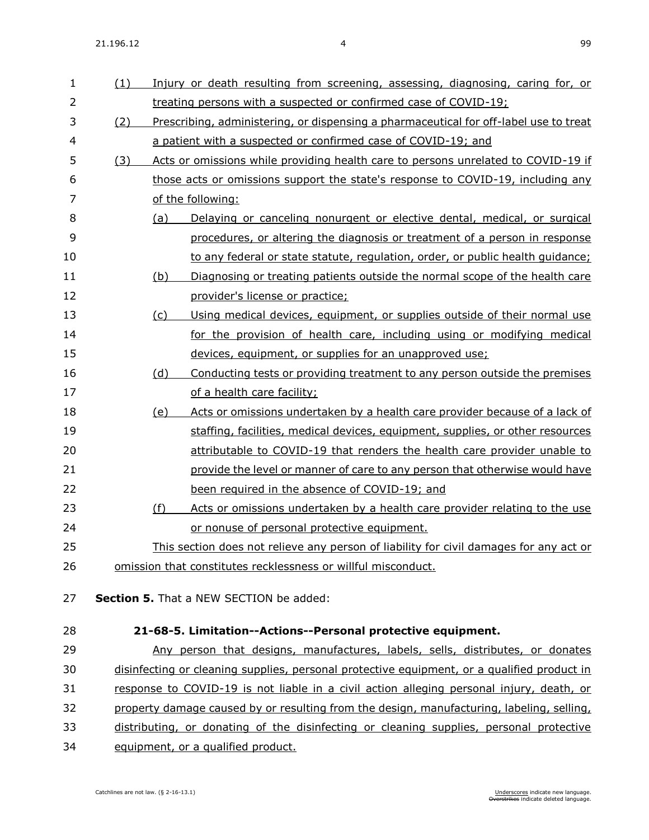| $\mathbf{1}$   | (1) |     | Injury or death resulting from screening, assessing, diagnosing, caring for, or             |
|----------------|-----|-----|---------------------------------------------------------------------------------------------|
| $\overline{2}$ |     |     | treating persons with a suspected or confirmed case of COVID-19;                            |
| 3              | (2) |     | Prescribing, administering, or dispensing a pharmaceutical for off-label use to treat       |
| 4              |     |     | a patient with a suspected or confirmed case of COVID-19; and                               |
| 5              | (3) |     | Acts or omissions while providing health care to persons unrelated to COVID-19 if           |
| 6              |     |     | those acts or omissions support the state's response to COVID-19, including any             |
| 7              |     |     | of the following:                                                                           |
| 8              |     | (a) | Delaying or canceling nonurgent or elective dental, medical, or surgical                    |
| 9              |     |     | procedures, or altering the diagnosis or treatment of a person in response                  |
| 10             |     |     | to any federal or state statute, regulation, order, or public health quidance;              |
| 11             |     | (b) | Diagnosing or treating patients outside the normal scope of the health care                 |
| 12             |     |     | provider's license or practice;                                                             |
| 13             |     | (c) | Using medical devices, equipment, or supplies outside of their normal use                   |
| 14             |     |     | for the provision of health care, including using or modifying medical                      |
| 15             |     |     | devices, equipment, or supplies for an unapproved use;                                      |
| 16             |     | (d) | Conducting tests or providing treatment to any person outside the premises                  |
| 17             |     |     | of a health care facility;                                                                  |
| 18             |     | (e) | Acts or omissions undertaken by a health care provider because of a lack of                 |
| 19             |     |     | staffing, facilities, medical devices, equipment, supplies, or other resources              |
| 20             |     |     | attributable to COVID-19 that renders the health care provider unable to                    |
| 21             |     |     | provide the level or manner of care to any person that otherwise would have                 |
| 22             |     |     | been required in the absence of COVID-19; and                                               |
| 23             |     | (f) | Acts or omissions undertaken by a health care provider relating to the use                  |
| 24             |     |     | or nonuse of personal protective equipment.                                                 |
| 25             |     |     | This section does not relieve any person of liability for civil damages for any act or      |
| 26             |     |     | omission that constitutes recklessness or willful misconduct.                               |
|                |     |     |                                                                                             |
| 27             |     |     | Section 5. That a NEW SECTION be added:                                                     |
| 28             |     |     | 21-68-5. Limitation--Actions--Personal protective equipment.                                |
| 29             |     |     | Any person that designs, manufactures, labels, sells, distributes, or donates               |
| 30             |     |     | disinfecting or cleaning supplies, personal protective equipment, or a qualified product in |
| 31             |     |     | response to COVID-19 is not liable in a civil action alleging personal injury, death, or    |
| 32             |     |     | property damage caused by or resulting from the design, manufacturing, labeling, selling,   |
| 33             |     |     | distributing, or donating of the disinfecting or cleaning supplies, personal protective     |

34 equipment, or a qualified product.